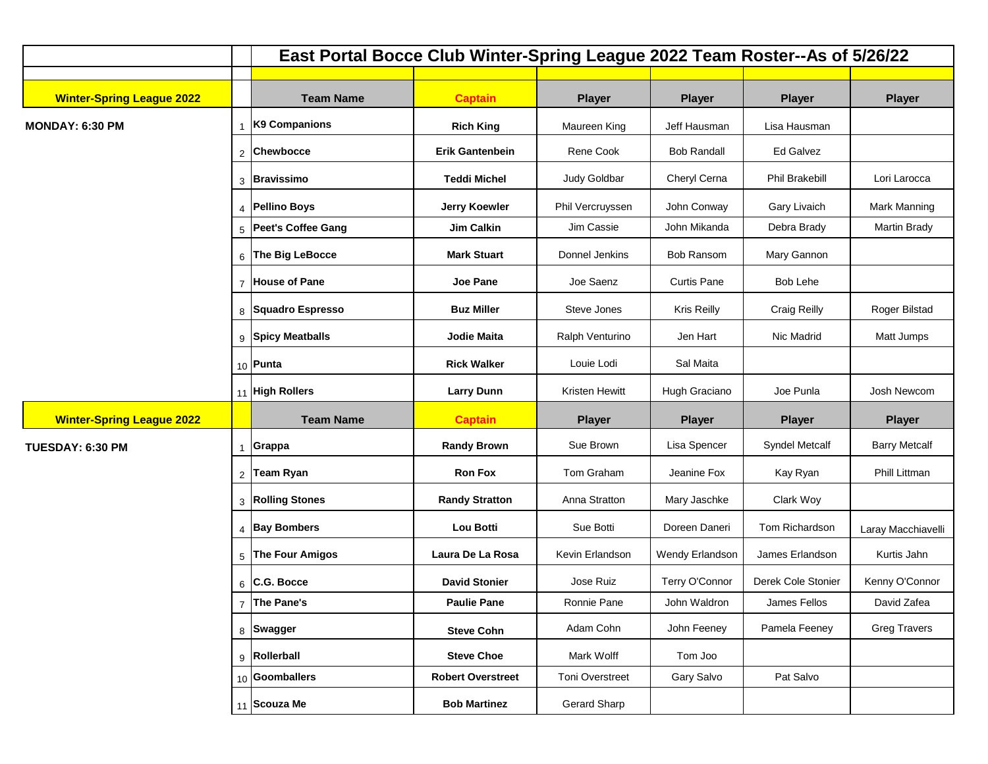|                                  |                | East Portal Bocce Club Winter-Spring League 2022 Team Roster--As of 5/26/22 |                          |                       |                    |                       |                      |  |
|----------------------------------|----------------|-----------------------------------------------------------------------------|--------------------------|-----------------------|--------------------|-----------------------|----------------------|--|
|                                  |                |                                                                             |                          |                       |                    |                       |                      |  |
| <b>Winter-Spring League 2022</b> |                | <b>Team Name</b>                                                            | <b>Captain</b>           | <b>Player</b>         | <b>Player</b>      | <b>Player</b>         | <b>Player</b>        |  |
| <b>MONDAY: 6:30 PM</b>           |                | K9 Companions                                                               | <b>Rich King</b>         | Maureen King          | Jeff Hausman       | Lisa Hausman          |                      |  |
|                                  | $\overline{2}$ | Chewbocce                                                                   | <b>Erik Gantenbein</b>   | Rene Cook             | <b>Bob Randall</b> | Ed Galvez             |                      |  |
|                                  |                | 3 Bravissimo                                                                | <b>Teddi Michel</b>      | Judy Goldbar          | Cheryl Cerna       | Phil Brakebill        | Lori Larocca         |  |
|                                  |                | 4 Pellino Boys                                                              | <b>Jerry Koewler</b>     | Phil Vercruyssen      | John Conway        | <b>Gary Livaich</b>   | Mark Manning         |  |
|                                  |                | 5 Peet's Coffee Gang                                                        | <b>Jim Calkin</b>        | Jim Cassie            | John Mikanda       | Debra Brady           | Martin Brady         |  |
|                                  |                | 6 The Big LeBocce                                                           | <b>Mark Stuart</b>       | Donnel Jenkins        | <b>Bob Ransom</b>  | Mary Gannon           |                      |  |
|                                  |                | 7 House of Pane                                                             | <b>Joe Pane</b>          | Joe Saenz             | <b>Curtis Pane</b> | Bob Lehe              |                      |  |
|                                  |                | 8 Squadro Espresso                                                          | <b>Buz Miller</b>        | Steve Jones           | <b>Kris Reilly</b> | <b>Craig Reilly</b>   | Roger Bilstad        |  |
|                                  |                | 9 Spicy Meatballs                                                           | Jodie Maita              | Ralph Venturino       | Jen Hart           | Nic Madrid            | Matt Jumps           |  |
|                                  |                | 10 Punta                                                                    | <b>Rick Walker</b>       | Louie Lodi            | Sal Maita          |                       |                      |  |
|                                  |                | 11 High Rollers                                                             | <b>Larry Dunn</b>        | <b>Kristen Hewitt</b> | Hugh Graciano      | Joe Punla             | Josh Newcom          |  |
| <b>Winter-Spring League 2022</b> |                | <b>Team Name</b>                                                            | <b>Captain</b>           | <b>Player</b>         | <b>Player</b>      | <b>Player</b>         | <b>Player</b>        |  |
| TUESDAY: 6:30 PM                 |                | Grappa                                                                      | <b>Randy Brown</b>       | Sue Brown             | Lisa Spencer       | <b>Syndel Metcalf</b> | <b>Barry Metcalf</b> |  |
|                                  | $\overline{2}$ | Team Ryan                                                                   | <b>Ron Fox</b>           | Tom Graham            | Jeanine Fox        | Kay Ryan              | Phill Littman        |  |
|                                  |                | 3 Rolling Stones                                                            | <b>Randy Stratton</b>    | Anna Stratton         | Mary Jaschke       | Clark Woy             |                      |  |
|                                  |                | 4 Bay Bombers                                                               | Lou Botti                | Sue Botti             | Doreen Daneri      | Tom Richardson        | Laray Macchiavelli   |  |
|                                  |                | 5 The Four Amigos                                                           | Laura De La Rosa         | Kevin Erlandson       | Wendy Erlandson    | James Erlandson       | Kurtis Jahn          |  |
|                                  |                | $6$ C.G. Bocce                                                              | <b>David Stonier</b>     | Jose Ruiz             | Terry O'Connor     | Derek Cole Stonier    | Kenny O'Connor       |  |
|                                  |                | 7 The Pane's                                                                | <b>Paulie Pane</b>       | Ronnie Pane           | John Waldron       | James Fellos          | David Zafea          |  |
|                                  |                | 8 Swagger                                                                   | <b>Steve Cohn</b>        | Adam Cohn             | John Feeney        | Pamela Feeney         | <b>Greg Travers</b>  |  |
|                                  |                | 9 Rollerball                                                                | <b>Steve Choe</b>        | Mark Wolff            | Tom Joo            |                       |                      |  |
|                                  |                | 10 Goomballers                                                              | <b>Robert Overstreet</b> | Toni Overstreet       | Gary Salvo         | Pat Salvo             |                      |  |
|                                  |                | 11 Scouza Me                                                                | <b>Bob Martinez</b>      | Gerard Sharp          |                    |                       |                      |  |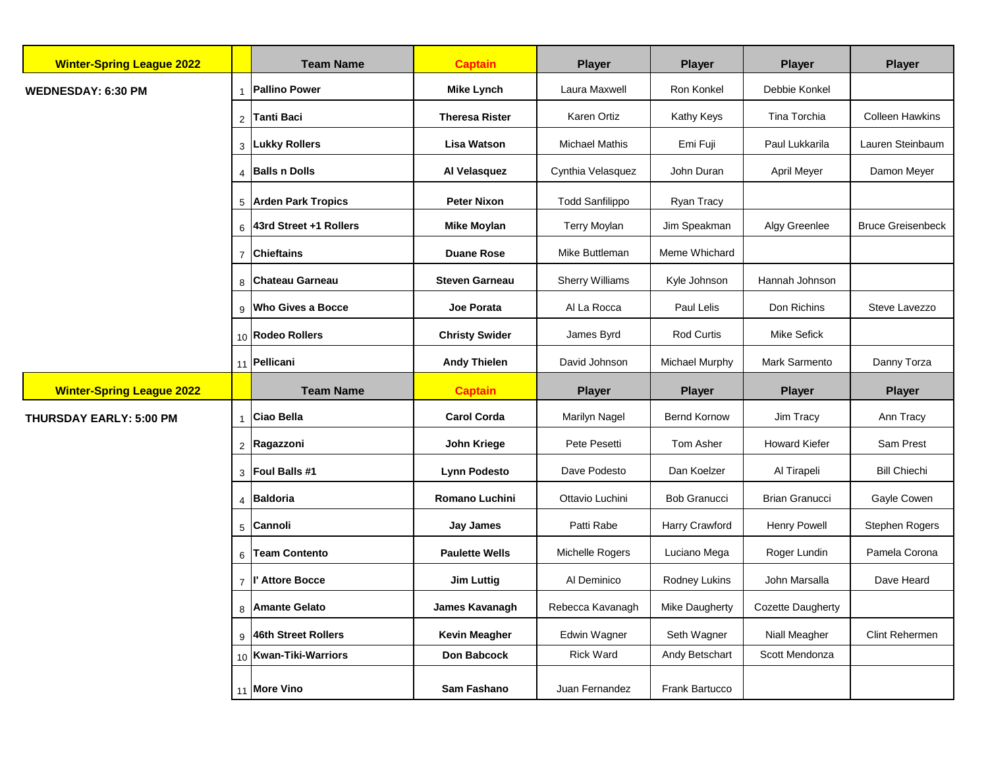| <b>Winter-Spring League 2022</b> |                       | <b>Team Name</b>         | <b>Captain</b>        | <b>Player</b>          | <b>Player</b>         | <b>Player</b>         | <b>Player</b>            |
|----------------------------------|-----------------------|--------------------------|-----------------------|------------------------|-----------------------|-----------------------|--------------------------|
| <b>WEDNESDAY: 6:30 PM</b>        |                       | <b>Pallino Power</b>     | <b>Mike Lynch</b>     | Laura Maxwell          | Ron Konkel            | Debbie Konkel         |                          |
|                                  | 2                     | <b>Tanti Baci</b>        | <b>Theresa Rister</b> | Karen Ortiz            | Kathy Keys            | Tina Torchia          | <b>Colleen Hawkins</b>   |
|                                  |                       | 3 Lukky Rollers          | <b>Lisa Watson</b>    | <b>Michael Mathis</b>  | Emi Fuji              | Paul Lukkarila        | Lauren Steinbaum         |
|                                  | $\boldsymbol{\Delta}$ | <b>Balls n Dolls</b>     | Al Velasquez          | Cynthia Velasquez      | John Duran            | April Meyer           | Damon Meyer              |
|                                  |                       | 5 Arden Park Tropics     | <b>Peter Nixon</b>    | <b>Todd Sanfilippo</b> | Ryan Tracy            |                       |                          |
|                                  | 6                     | 43rd Street +1 Rollers   | <b>Mike Moylan</b>    | <b>Terry Moylan</b>    | Jim Speakman          | Algy Greenlee         | <b>Bruce Greisenbeck</b> |
|                                  | $\overline{7}$        | <b>Chieftains</b>        | <b>Duane Rose</b>     | Mike Buttleman         | Meme Whichard         |                       |                          |
|                                  | 8                     | <b>Chateau Garneau</b>   | <b>Steven Garneau</b> | <b>Sherry Williams</b> | Kyle Johnson          | Hannah Johnson        |                          |
|                                  | 9                     | <b>Who Gives a Bocce</b> | Joe Porata            | Al La Rocca            | Paul Lelis            | Don Richins           | Steve Lavezzo            |
|                                  |                       | 10 Rodeo Rollers         | <b>Christy Swider</b> | James Byrd             | Rod Curtis            | <b>Mike Sefick</b>    |                          |
|                                  |                       | 11 Pellicani             | <b>Andy Thielen</b>   | David Johnson          | Michael Murphy        | Mark Sarmento         | Danny Torza              |
| <b>Winter-Spring League 2022</b> |                       | <b>Team Name</b>         | <b>Captain</b>        | <b>Player</b>          | <b>Player</b>         | <b>Player</b>         | <b>Player</b>            |
| <b>THURSDAY EARLY: 5:00 PM</b>   |                       | <b>Ciao Bella</b>        | <b>Carol Corda</b>    | <b>Marilyn Nagel</b>   | <b>Bernd Kornow</b>   | Jim Tracy             | Ann Tracy                |
|                                  | $\overline{2}$        | Ragazzoni                | John Kriege           | Pete Pesetti           | Tom Asher             | <b>Howard Kiefer</b>  | Sam Prest                |
|                                  |                       | 3 Foul Balls #1          | <b>Lynn Podesto</b>   | Dave Podesto           | Dan Koelzer           | Al Tirapeli           | <b>Bill Chiechi</b>      |
|                                  | $\Delta$              | Baldoria                 | <b>Romano Luchini</b> | Ottavio Luchini        | <b>Bob Granucci</b>   | <b>Brian Granucci</b> | Gayle Cowen              |
|                                  | 5                     | Cannoli                  | <b>Jay James</b>      | Patti Rabe             | Harry Crawford        | Henry Powell          | Stephen Rogers           |
|                                  | 6                     | <b>Team Contento</b>     | <b>Paulette Wells</b> | Michelle Rogers        | Luciano Mega          | Roger Lundin          | Pamela Corona            |
|                                  |                       |                          |                       |                        |                       |                       |                          |
|                                  | $\overline{7}$        | l' Attore Bocce          | <b>Jim Luttig</b>     | Al Deminico            | Rodney Lukins         | John Marsalla         | Dave Heard               |
|                                  | 8                     | <b>Amante Gelato</b>     | James Kavanagh        | Rebecca Kavanagh       | <b>Mike Daugherty</b> | Cozette Daugherty     |                          |
|                                  |                       | 9 46th Street Rollers    | <b>Kevin Meagher</b>  | Edwin Wagner           | Seth Wagner           | Niall Meagher         | Clint Rehermen           |
|                                  |                       | 10   Kwan-Tiki-Warriors  | Don Babcock           | Rick Ward              | Andy Betschart        | Scott Mendonza        |                          |